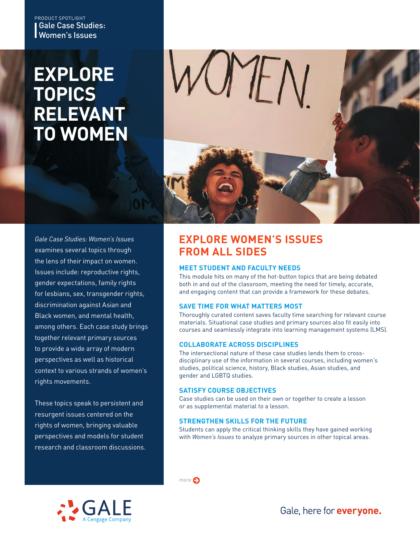### Gale Case Studies: Women's Issues PRODUCT SPOTLIGHT

# **EXPLORE TOPICS RELEVANT TO WOMEN**



*Gale Case Studies: Women's Issues* examines several topics through the lens of their impact on women. Issues include: reproductive rights, gender expectations, family rights for lesbians, sex, transgender rights, discrimination against Asian and Black women, and mental health, among others. Each case study brings together relevant primary sources to provide a wide array of modern perspectives as well as historical context to various strands of women's rights movements.

These topics speak to persistent and resurgent issues centered on the rights of women, bringing valuable perspectives and models for student research and classroom discussions.

## **EXPLORE WOMEN'S ISSUES FROM ALL SIDES**

### **MEET STUDENT AND FACULTY NEEDS**

This module hits on many of the hot-button topics that are being debated both in and out of the classroom, meeting the need for timely, accurate, and engaging content that can provide a framework for these debates.

### **SAVE TIME FOR WHAT MATTERS MOST**

Thoroughly curated content saves faculty time searching for relevant course materials. Situational case studies and primary sources also fit easily into courses and seamlessly integrate into learning management systems (LMS).

### **COLLABORATE ACROSS DISCIPLINES**

The intersectional nature of these case studies lends them to crossdisciplinary use of the information in several courses, including women's studies, political science, history, Black studies, Asian studies, and gender and LGBTQ studies.

#### **SATISFY COURSE OBJECTIVES**

*more*

Case studies can be used on their own or together to create a lesson or as supplemental material to a lesson.

#### **STRENGTHEN SKILLS FOR THE FUTURE**

Students can apply the critical thinking skills they have gained working with *Women's Issues* to analyze primary sources in other topical areas.